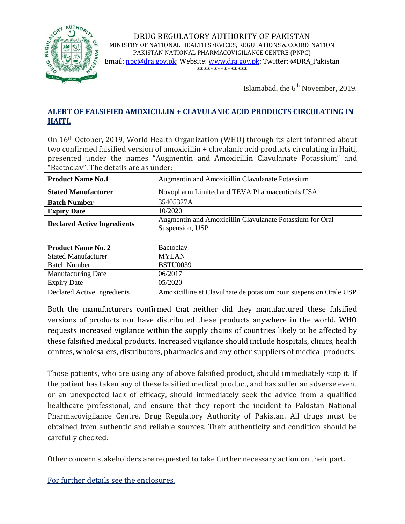

DRUG REGULATORY AUTHORITY OF PAKISTAN MINISTRY OF NATIONAL HEALTH SERVICES, REGULATIONS & COORDINATION PAKISTAN NATIONAL PHARMACOVIGILANCE CENTRE (PNPC) Email[: npc@dra.gov.pk;](mailto:npc@dra.gov.pk) Website[: www.dra.gov.pk;](http://www.dra.gov.pk/) Twitter: @DRA\_Pakistan \*\*\*\*\*\*\*\*\*\*\*\*\*\*\*

Islamabad, the  $6<sup>th</sup>$  November, 2019.

### **ALERT OF FALSIFIED AMOXICILLIN + CLAVULANIC ACID PRODUCTS CIRCULATING IN HAITI.**

On 16th October, 2019, World Health Organization (WHO) through its alert informed about two confirmed falsified version of amoxicillin + clavulanic acid products circulating in Haiti, presented under the names "Augmentin and Amoxicillin Clavulanate Potassium" and "Bactoclav". The details are as under:

| <b>Product Name No.1</b>           | Augmentin and Amoxicillin Clavulanate Potassium                             |
|------------------------------------|-----------------------------------------------------------------------------|
| <b>Stated Manufacturer</b>         | Novopharm Limited and TEVA Pharmaceuticals USA                              |
| <b>Batch Number</b>                | 35405327A                                                                   |
| <b>Expiry Date</b>                 | 10/2020                                                                     |
| <b>Declared Active Ingredients</b> | Augmentin and Amoxicillin Clavulanate Potassium for Oral<br>Suspension, USP |

| <b>Product Name No. 2</b>   | Bactoclay                                                        |
|-----------------------------|------------------------------------------------------------------|
| <b>Stated Manufacturer</b>  | <b>MYLAN</b>                                                     |
| <b>Batch Number</b>         | <b>BSTU0039</b>                                                  |
| <b>Manufacturing Date</b>   | 06/2017                                                          |
| <b>Expiry Date</b>          | 05/2020                                                          |
| Declared Active Ingredients | Amoxicilline et Clavulnate de potasium pour suspension Orale USP |

Both the manufacturers confirmed that neither did they manufactured these falsified versions of products nor have distributed these products anywhere in the world. WHO requests increased vigilance within the supply chains of countries likely to be affected by these falsified medical products. Increased vigilance should include hospitals, clinics, health centres, wholesalers, distributors, pharmacies and any other suppliers of medical products.

Those patients, who are using any of above falsified product, should immediately stop it. If the patient has taken any of these falsified medical product, and has suffer an adverse event or an unexpected lack of efficacy, should immediately seek the advice from a qualified healthcare professional, and ensure that they report the incident to Pakistan National Pharmacovigilance Centre, Drug Regulatory Authority of Pakistan. All drugs must be obtained from authentic and reliable sources. Their authenticity and condition should be carefully checked.

Other concern stakeholders are requested to take further necessary action on their part.

For further details see the enclosures.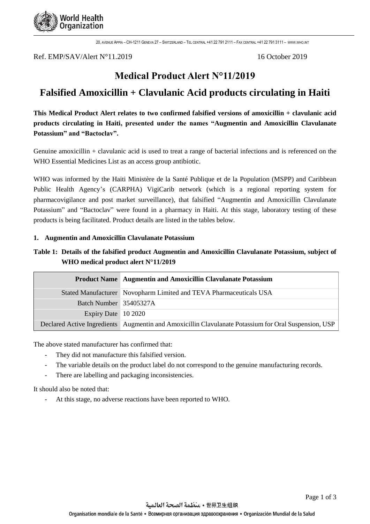

20, AVENUE APPIA – CH-1211 GENEVA 27 – SWITZERLAND – TEL CENTRAL +41 22 791 2111 – FAX CENTRAL +41 22 791 3111 – [WWW](http://www.who.int/).WHO.INT

Ref. EMP/SAV/Alert N°11.2019 16 October 2019

## **Medical Product Alert N°11/2019**

# **Falsified Amoxicillin + Clavulanic Acid products circulating in Haiti**

**This Medical Product Alert relates to two confirmed falsified versions of amoxicillin + clavulanic acid products circulating in Haiti, presented under the names "Augmentin and Amoxicillin Clavulanate Potassium" and "Bactoclav".** 

Genuine amoxicillin + clavulanic acid is used to treat a range of bacterial infections and is referenced on the WHO Essential Medicines List as an access group antibiotic.

WHO was informed by the Haiti Ministère de la Santé Publique et de la Population (MSPP) and Caribbean Public Health Agency's (CARPHA) VigiCarib network (which is a regional reporting system for pharmacovigilance and post market surveillance), that falsified "Augmentin and Amoxicillin Clavulanate Potassium" and "Bactoclav" were found in a pharmacy in Haiti. At this stage, laboratory testing of these products is being facilitated. Product details are listed in the tables below.

#### **1. Augmentin and Amoxicillin Clavulanate Potassium**

### **Table 1: Details of the falsified product Augmentin and Amoxicillin Clavulanate Potassium, subject of WHO medical product alert N°11/2019**

|                        | <b>Product Name Augmentin and Amoxicillin Clavulanate Potassium</b>                                  |
|------------------------|------------------------------------------------------------------------------------------------------|
|                        | Stated Manufacturer Novopharm Limited and TEVA Pharmaceuticals USA                                   |
| Batch Number 35405327A |                                                                                                      |
| Expiry Date 10 2020    |                                                                                                      |
|                        | Declared Active Ingredients Augmentin and Amoxicillin Clavulanate Potassium for Oral Suspension, USP |

The above stated manufacturer has confirmed that:

- They did not manufacture this falsified version.
- The variable details on the product label do not correspond to the genuine manufacturing records.
- There are labelling and packaging inconsistencies.

It should also be noted that:

At this stage, no adverse reactions have been reported to WHO.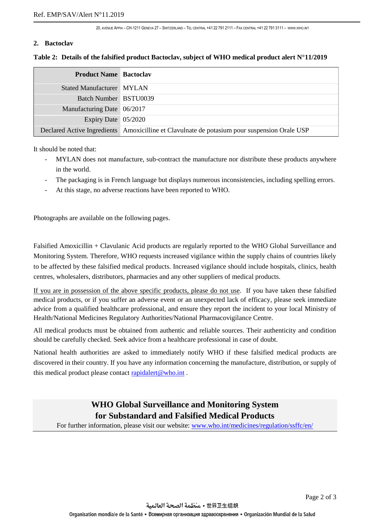20, AVENUE APPIA – CH-1211 GENEVA 27 – SWITZERLAND – TEL CENTRAL +41 22 791 2111 – FAX CENTRAL +41 22 791 3111 – [WWW](http://www.who.int/).WHO.INT

#### **2. Bactoclav**

| <b>Product Name Bactoclav</b> |                                                                                              |
|-------------------------------|----------------------------------------------------------------------------------------------|
| Stated Manufacturer MYLAN     |                                                                                              |
| Batch Number BSTU0039         |                                                                                              |
| Manufacturing Date 06/2017    |                                                                                              |
| Expiry Date 05/2020           |                                                                                              |
|                               | Declared Active Ingredients Amoxicilline et Clavulnate de potasium pour suspension Orale USP |

#### **Table 2: Details of the falsified product Bactoclav, subject of WHO medical product alert N°11/2019**

It should be noted that:

- MYLAN does not manufacture, sub-contract the manufacture nor distribute these products anywhere in the world.
- The packaging is in French language but displays numerous inconsistencies, including spelling errors.
- At this stage, no adverse reactions have been reported to WHO.

Photographs are available on the following pages.

Falsified Amoxicillin + Clavulanic Acid products are regularly reported to the WHO Global Surveillance and Monitoring System. Therefore, WHO requests increased vigilance within the supply chains of countries likely to be affected by these falsified medical products. Increased vigilance should include hospitals, clinics, health centres, wholesalers, distributors, pharmacies and any other suppliers of medical products.

If you are in possession of the above specific products, please do not use. If you have taken these falsified medical products, or if you suffer an adverse event or an unexpected lack of efficacy, please seek immediate advice from a qualified healthcare professional, and ensure they report the incident to your local Ministry of Health/National Medicines Regulatory Authorities/National Pharmacovigilance Centre.

All medical products must be obtained from authentic and reliable sources. Their authenticity and condition should be carefully checked. Seek advice from a healthcare professional in case of doubt.

National health authorities are asked to immediately notify WHO if these falsified medical products are discovered in their country. If you have any information concerning the manufacture, distribution, or supply of this medical product please contact [rapidalert@who.int](mailto:rapidalert@who.int).

## **WHO Global Surveillance and Monitoring System for Substandard and Falsified Medical Products**

For further information, please visit our website: [www.who.int/medicines/regulation/ssffc/en/](file:///C:/Users/leedi/AppData/Local/Microsoft/Windows/INetCache/Content.Outlook/3ACY5GDP/www.who.int/medicines/regulation/ssffc/en/)